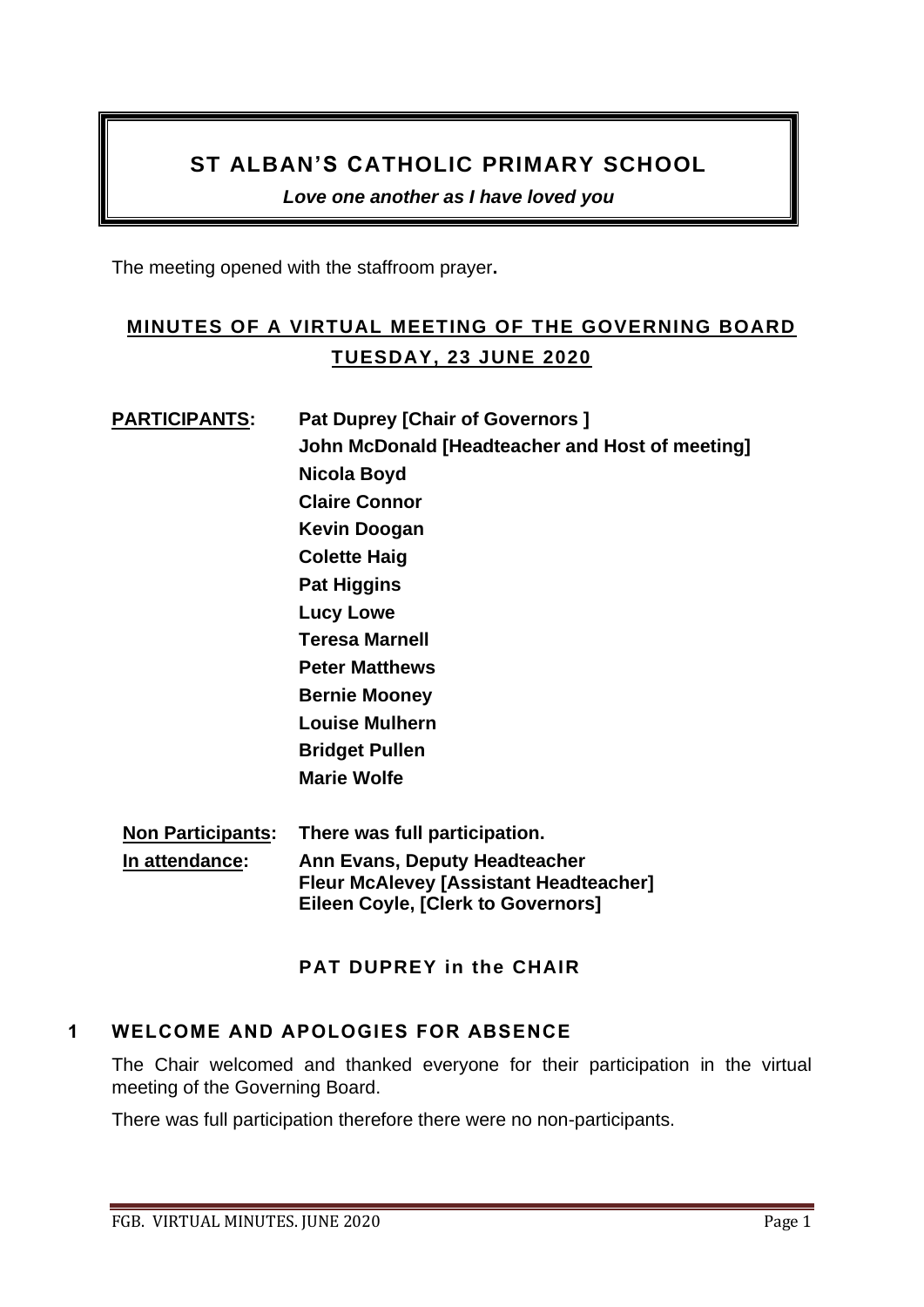## **ST ALBAN'S CATHOLIC PRIMARY SCHOOL**

*Love one another as I have loved you* 

The meeting opened with the staffroom prayer**.**

# **MINUTES OF A VIRTUAL MEETING OF THE GOVERNING BOARD TUESDAY, 23 JUNE 2020**

# **PARTICIPANTS:** Pat Duprey [Chair of Governors ] **John McDonald [Headteacher and Host of meeting] Nicola Boyd Claire Connor Kevin Doogan Colette Haig Pat Higgins Lucy Lowe Teresa Marnell Peter Matthews Bernie Mooney Louise Mulhern Bridget Pullen Marie Wolfe Non Participants: There was full participation.**

**In attendance: Ann Evans, Deputy Headteacher Fleur McAlevey [Assistant Headteacher] Eileen Coyle, [Clerk to Governors]**

## **PAT DUPREY in the CHAIR**

## **1 WELCOME AND APOLOGIES FOR ABSENCE**

The Chair welcomed and thanked everyone for their participation in the virtual meeting of the Governing Board.

There was full participation therefore there were no non-participants.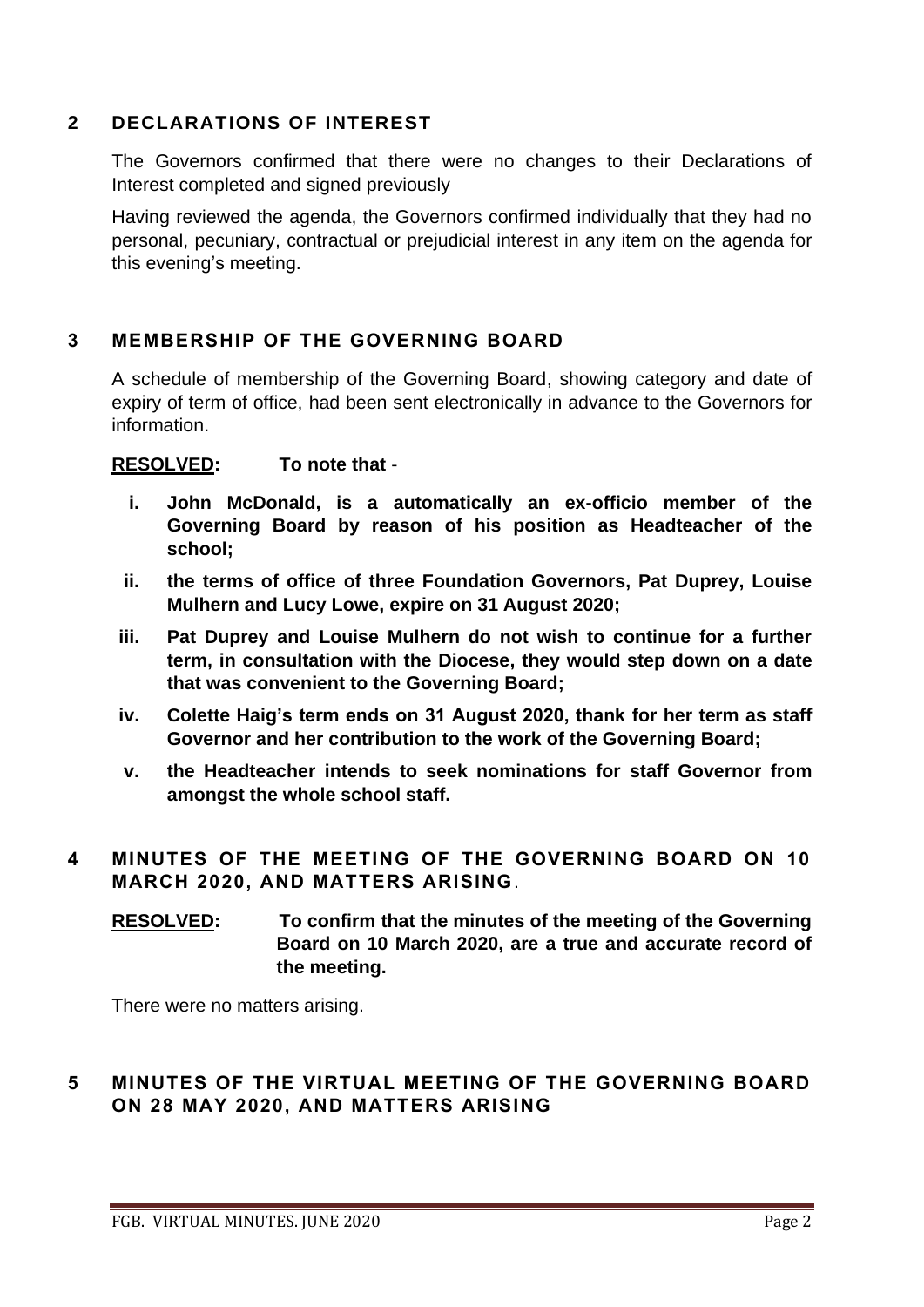## **2 DECLARATIONS OF INTEREST**

The Governors confirmed that there were no changes to their Declarations of Interest completed and signed previously

Having reviewed the agenda, the Governors confirmed individually that they had no personal, pecuniary, contractual or prejudicial interest in any item on the agenda for this evening's meeting.

## **3 MEMBERSHIP OF THE GOVERNING BOARD**

A schedule of membership of the Governing Board, showing category and date of expiry of term of office, had been sent electronically in advance to the Governors for information.

**RESOLVED: To note that** -

- **i. John McDonald, is a automatically an ex-officio member of the Governing Board by reason of his position as Headteacher of the school;**
- **ii. the terms of office of three Foundation Governors, Pat Duprey, Louise Mulhern and Lucy Lowe, expire on 31 August 2020;**
- **iii. Pat Duprey and Louise Mulhern do not wish to continue for a further term, in consultation with the Diocese, they would step down on a date that was convenient to the Governing Board;**
- **iv. Colette Haig's term ends on 31 August 2020, thank for her term as staff Governor and her contribution to the work of the Governing Board;**
- **v. the Headteacher intends to seek nominations for staff Governor from amongst the whole school staff.**

## **4 MINUTES OF THE MEETING OF THE GOVERNING BOARD ON 10 MARCH 2020, AND MATTERS ARISING**.

**RESOLVED: To confirm that the minutes of the meeting of the Governing Board on 10 March 2020, are a true and accurate record of the meeting.** 

There were no matters arising.

## **5 MINUTES OF THE VIRTUAL MEETING OF THE GOVERNING BOARD ON 28 MAY 2020, AND MATTERS ARISING**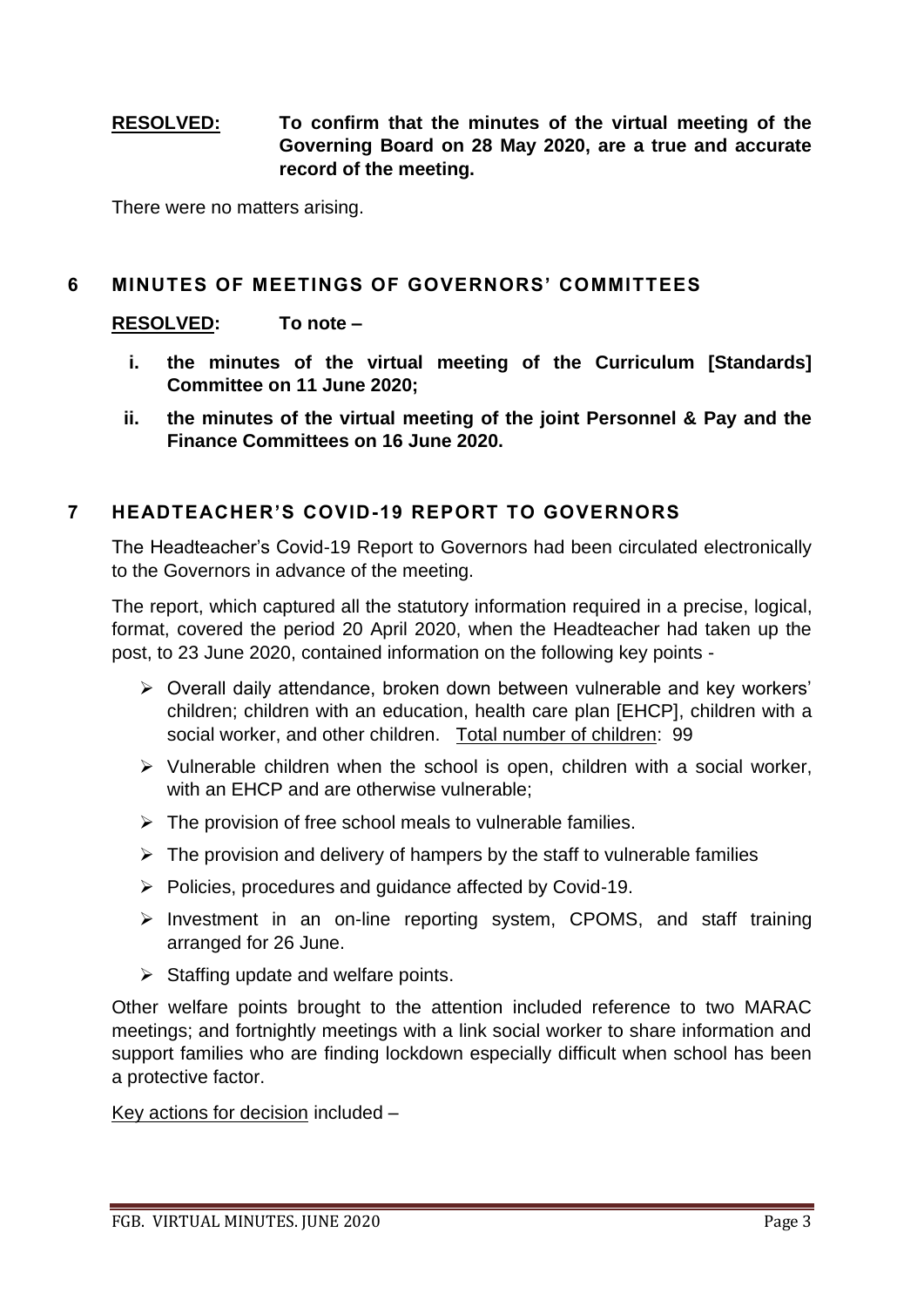## **RESOLVED: To confirm that the minutes of the virtual meeting of the Governing Board on 28 May 2020, are a true and accurate record of the meeting.**

There were no matters arising.

#### **6 MINUTES OF MEETINGS OF GOVERNORS' COMMITTEES**

#### **RESOLVED: To note –**

- **i. the minutes of the virtual meeting of the Curriculum [Standards] Committee on 11 June 2020;**
- **ii. the minutes of the virtual meeting of the joint Personnel & Pay and the Finance Committees on 16 June 2020.**

#### **7 HEADTEACHER'S COVID-19 REPORT TO GOVERNORS**

The Headteacher's Covid-19 Report to Governors had been circulated electronically to the Governors in advance of the meeting.

The report, which captured all the statutory information required in a precise, logical, format, covered the period 20 April 2020, when the Headteacher had taken up the post, to 23 June 2020, contained information on the following key points -

- ➢ Overall daily attendance, broken down between vulnerable and key workers' children; children with an education, health care plan [EHCP], children with a social worker, and other children. Total number of children: 99
- ➢ Vulnerable children when the school is open, children with a social worker, with an EHCP and are otherwise vulnerable;
- $\triangleright$  The provision of free school meals to vulnerable families.
- $\triangleright$  The provision and delivery of hampers by the staff to vulnerable families
- ➢ Policies, procedures and guidance affected by Covid-19.
- ➢ Investment in an on-line reporting system, CPOMS, and staff training arranged for 26 June.
- $\triangleright$  Staffing update and welfare points.

Other welfare points brought to the attention included reference to two MARAC meetings; and fortnightly meetings with a link social worker to share information and support families who are finding lockdown especially difficult when school has been a protective factor.

Key actions for decision included –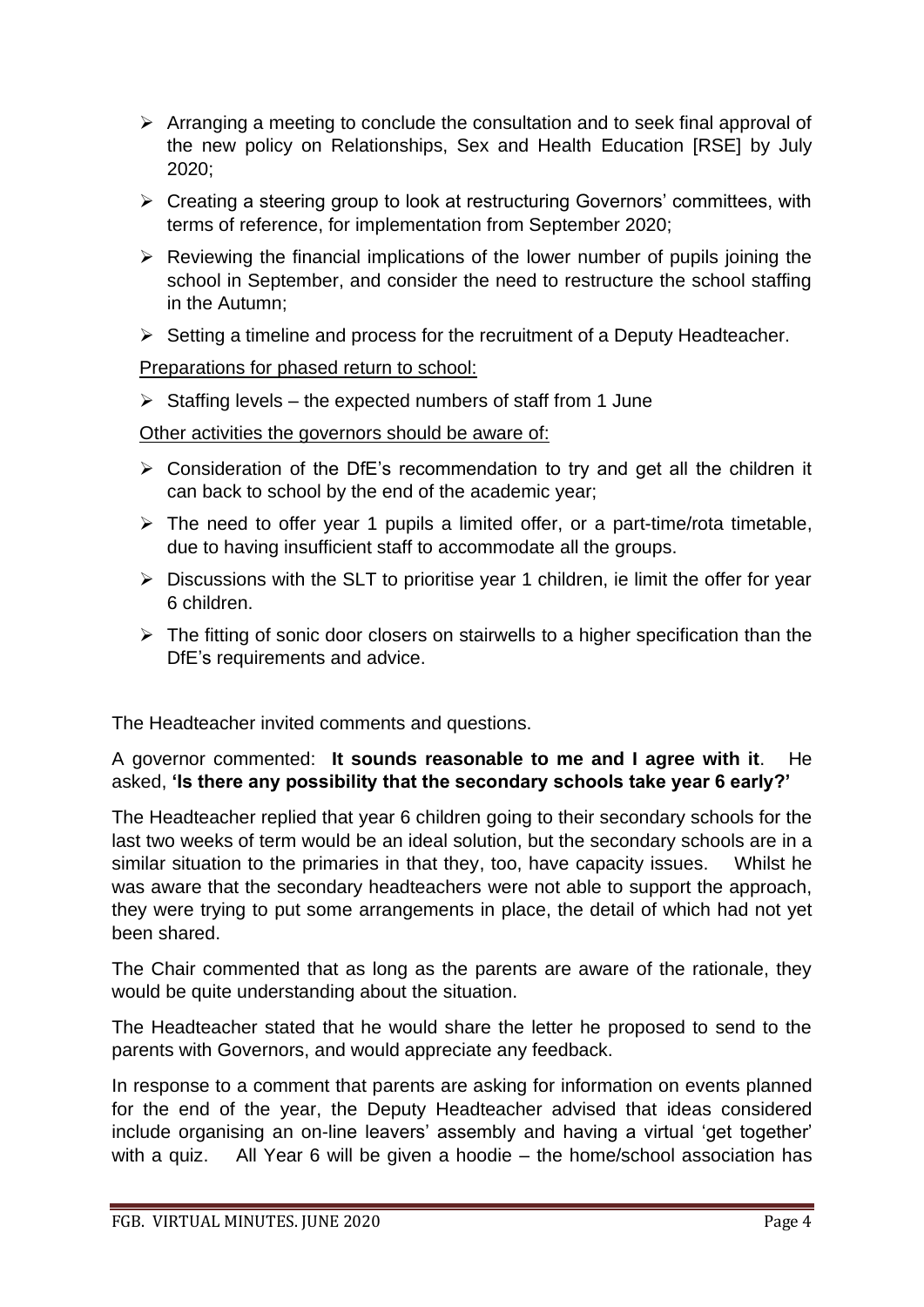- ➢ Arranging a meeting to conclude the consultation and to seek final approval of the new policy on Relationships, Sex and Health Education [RSE] by July 2020;
- ➢ Creating a steering group to look at restructuring Governors' committees, with terms of reference, for implementation from September 2020;
- $\triangleright$  Reviewing the financial implications of the lower number of pupils joining the school in September, and consider the need to restructure the school staffing in the Autumn;
- ➢ Setting a timeline and process for the recruitment of a Deputy Headteacher.

Preparations for phased return to school:

 $\triangleright$  Staffing levels – the expected numbers of staff from 1 June

Other activities the governors should be aware of:

- ➢ Consideration of the DfE's recommendation to try and get all the children it can back to school by the end of the academic year;
- $\triangleright$  The need to offer year 1 pupils a limited offer, or a part-time/rota timetable, due to having insufficient staff to accommodate all the groups.
- $\triangleright$  Discussions with the SLT to prioritise year 1 children, ie limit the offer for year 6 children.
- $\triangleright$  The fitting of sonic door closers on stairwells to a higher specification than the DfE's requirements and advice.

The Headteacher invited comments and questions.

A governor commented: **It sounds reasonable to me and I agree with it**. He asked, **'Is there any possibility that the secondary schools take year 6 early?'**

The Headteacher replied that year 6 children going to their secondary schools for the last two weeks of term would be an ideal solution, but the secondary schools are in a similar situation to the primaries in that they, too, have capacity issues. Whilst he was aware that the secondary headteachers were not able to support the approach, they were trying to put some arrangements in place, the detail of which had not yet been shared.

The Chair commented that as long as the parents are aware of the rationale, they would be quite understanding about the situation.

The Headteacher stated that he would share the letter he proposed to send to the parents with Governors, and would appreciate any feedback.

In response to a comment that parents are asking for information on events planned for the end of the year, the Deputy Headteacher advised that ideas considered include organising an on-line leavers' assembly and having a virtual 'get together' with a quiz. All Year 6 will be given a hoodie – the home/school association has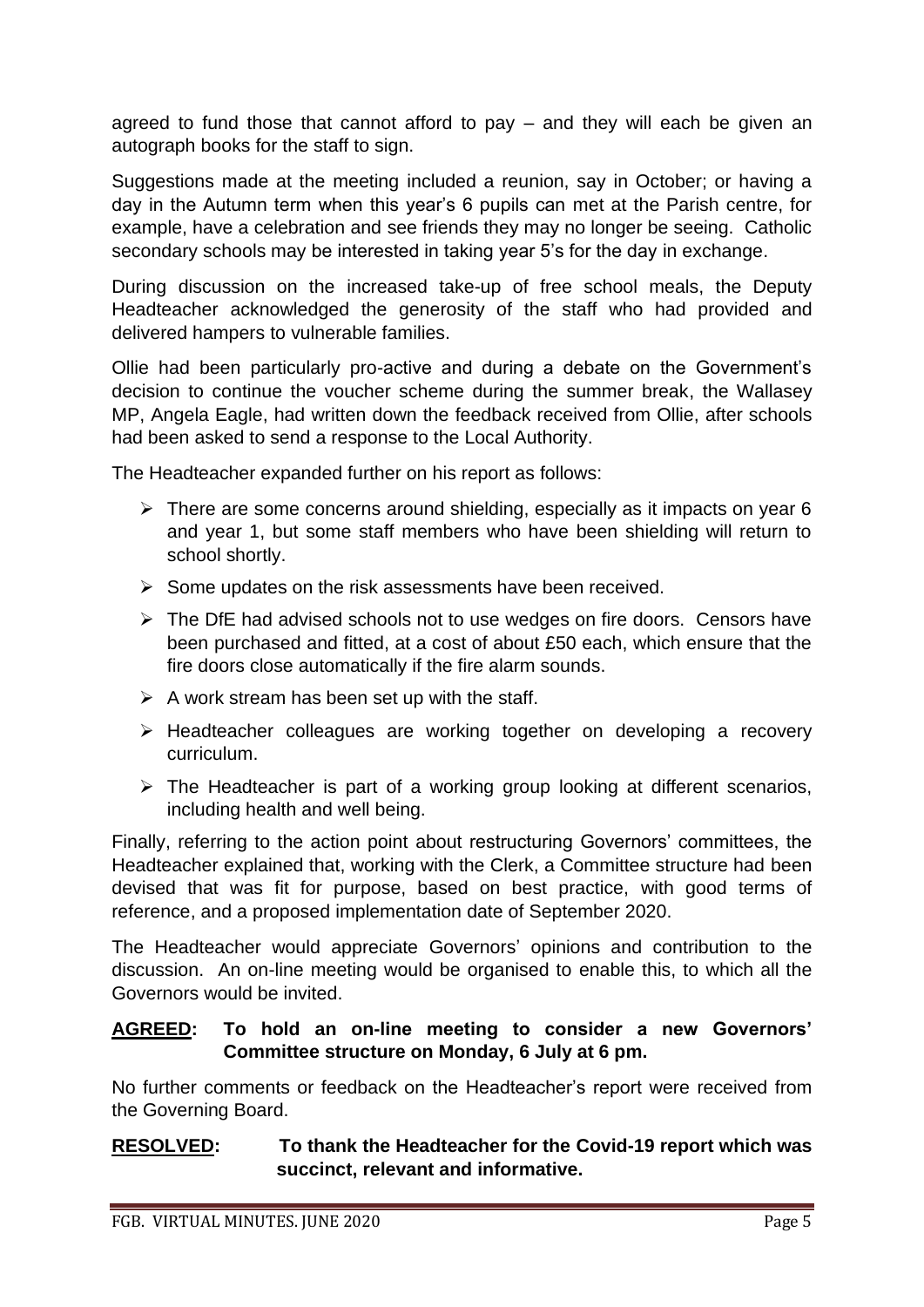agreed to fund those that cannot afford to pay – and they will each be given an autograph books for the staff to sign.

Suggestions made at the meeting included a reunion, say in October; or having a day in the Autumn term when this year's 6 pupils can met at the Parish centre, for example, have a celebration and see friends they may no longer be seeing. Catholic secondary schools may be interested in taking year 5's for the day in exchange.

During discussion on the increased take-up of free school meals, the Deputy Headteacher acknowledged the generosity of the staff who had provided and delivered hampers to vulnerable families.

Ollie had been particularly pro-active and during a debate on the Government's decision to continue the voucher scheme during the summer break, the Wallasey MP, Angela Eagle, had written down the feedback received from Ollie, after schools had been asked to send a response to the Local Authority.

The Headteacher expanded further on his report as follows:

- $\triangleright$  There are some concerns around shielding, especially as it impacts on year 6 and year 1, but some staff members who have been shielding will return to school shortly.
- ➢ Some updates on the risk assessments have been received.
- ➢ The DfE had advised schools not to use wedges on fire doors. Censors have been purchased and fitted, at a cost of about £50 each, which ensure that the fire doors close automatically if the fire alarm sounds.
- $\triangleright$  A work stream has been set up with the staff.
- ➢ Headteacher colleagues are working together on developing a recovery curriculum.
- $\triangleright$  The Headteacher is part of a working group looking at different scenarios, including health and well being.

Finally, referring to the action point about restructuring Governors' committees, the Headteacher explained that, working with the Clerk, a Committee structure had been devised that was fit for purpose, based on best practice, with good terms of reference, and a proposed implementation date of September 2020.

The Headteacher would appreciate Governors' opinions and contribution to the discussion. An on-line meeting would be organised to enable this, to which all the Governors would be invited.

## **AGREED: To hold an on-line meeting to consider a new Governors' Committee structure on Monday, 6 July at 6 pm.**

No further comments or feedback on the Headteacher's report were received from the Governing Board.

## **RESOLVED: To thank the Headteacher for the Covid-19 report which was succinct, relevant and informative.**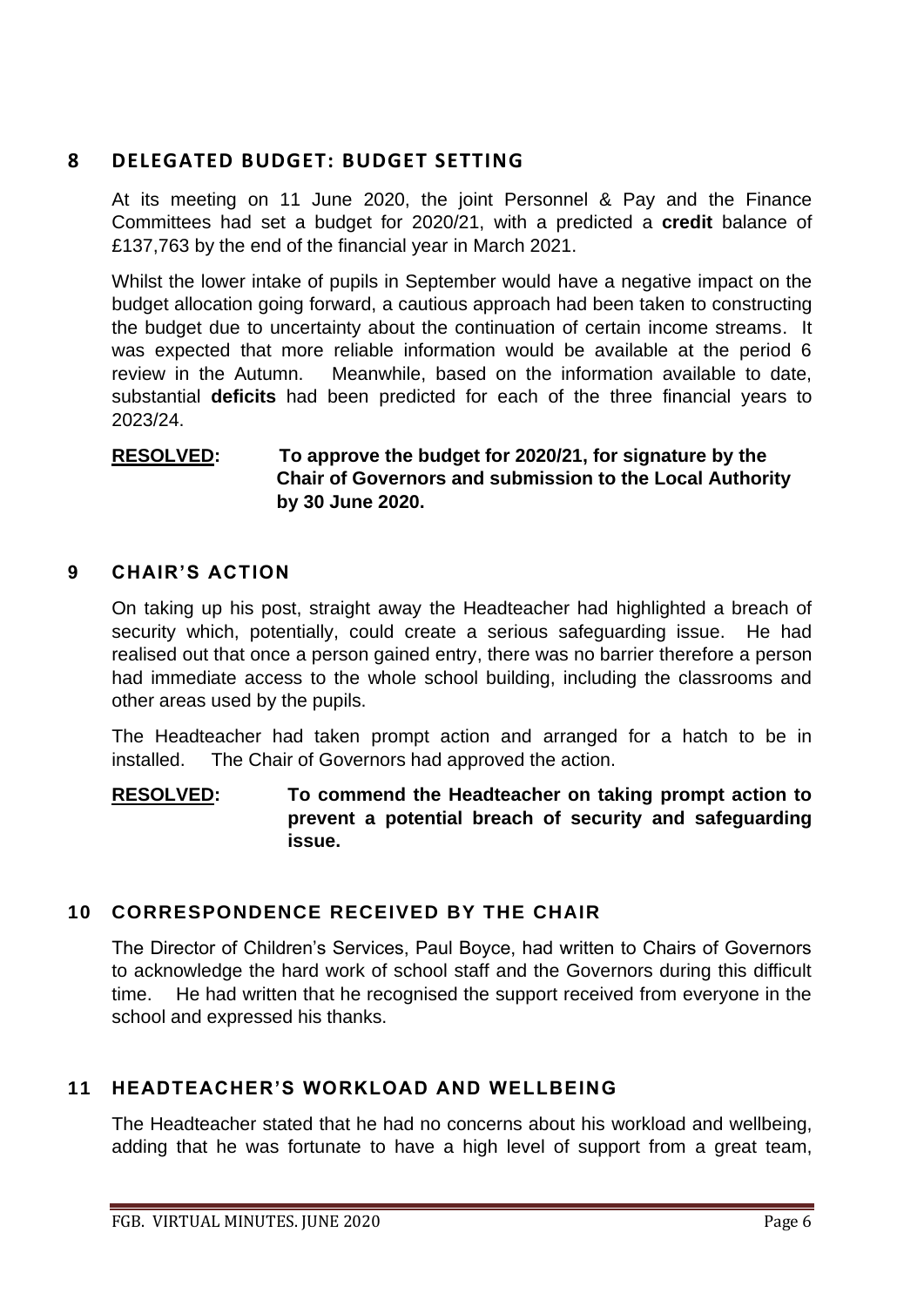## **8 DELEGATED BUDGET: BUDGET SETTING**

At its meeting on 11 June 2020, the joint Personnel & Pay and the Finance Committees had set a budget for 2020/21, with a predicted a **credit** balance of £137,763 by the end of the financial year in March 2021.

Whilst the lower intake of pupils in September would have a negative impact on the budget allocation going forward, a cautious approach had been taken to constructing the budget due to uncertainty about the continuation of certain income streams. It was expected that more reliable information would be available at the period 6 review in the Autumn. Meanwhile, based on the information available to date, substantial **deficits** had been predicted for each of the three financial years to 2023/24.

## **RESOLVED: To approve the budget for 2020/21, for signature by the Chair of Governors and submission to the Local Authority by 30 June 2020.**

## **9 CHAIR'S ACTION**

On taking up his post, straight away the Headteacher had highlighted a breach of security which, potentially, could create a serious safeguarding issue. He had realised out that once a person gained entry, there was no barrier therefore a person had immediate access to the whole school building, including the classrooms and other areas used by the pupils.

The Headteacher had taken prompt action and arranged for a hatch to be in installed. The Chair of Governors had approved the action.

## **RESOLVED: To commend the Headteacher on taking prompt action to prevent a potential breach of security and safeguarding issue.**

## **10 CORRESPONDENCE RECEIVED BY THE CHAIR**

The Director of Children's Services, Paul Boyce, had written to Chairs of Governors to acknowledge the hard work of school staff and the Governors during this difficult time. He had written that he recognised the support received from everyone in the school and expressed his thanks.

## **11 HEADTEACHER'S WORKLOAD AND WELLBEING**

The Headteacher stated that he had no concerns about his workload and wellbeing, adding that he was fortunate to have a high level of support from a great team,